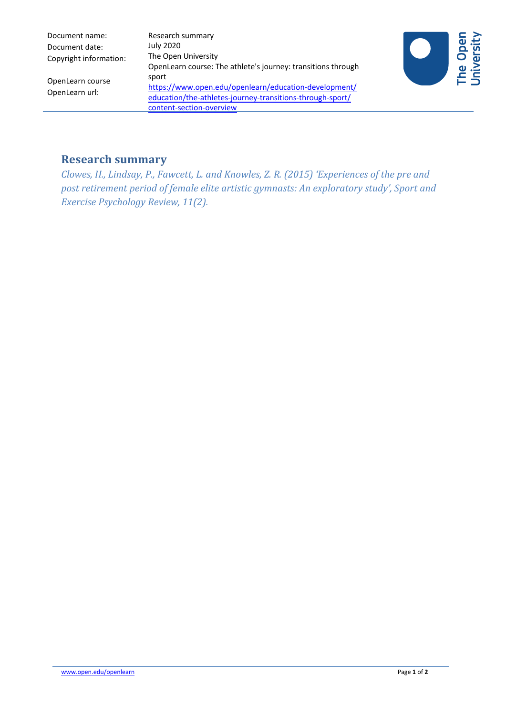| Document name:         |
|------------------------|
| Document date:         |
| Copyright information: |

OpenLearn course OpenLearn url:

Research summary July 2020 The Open University OpenLearn course: The athlete's journey: transitions through sport https://www.open.edu/openlearn/education-development/ [education/the-athletes-journey-transitions-through-sport/](https://www.open.edu/openlearn/education-development/education/the-athletes-journey-transitions-through-sport/content-section-overview) content-section-overview



# **Research summary**

*Clowes, H., Lindsay, P., Fawcett, L. and Knowles, Z. R. (2015) 'Experiences of the pre and post retirement period of female elite artistic gymnasts: An exploratory study', Sport and Exercise Psychology Review, 11(2).*